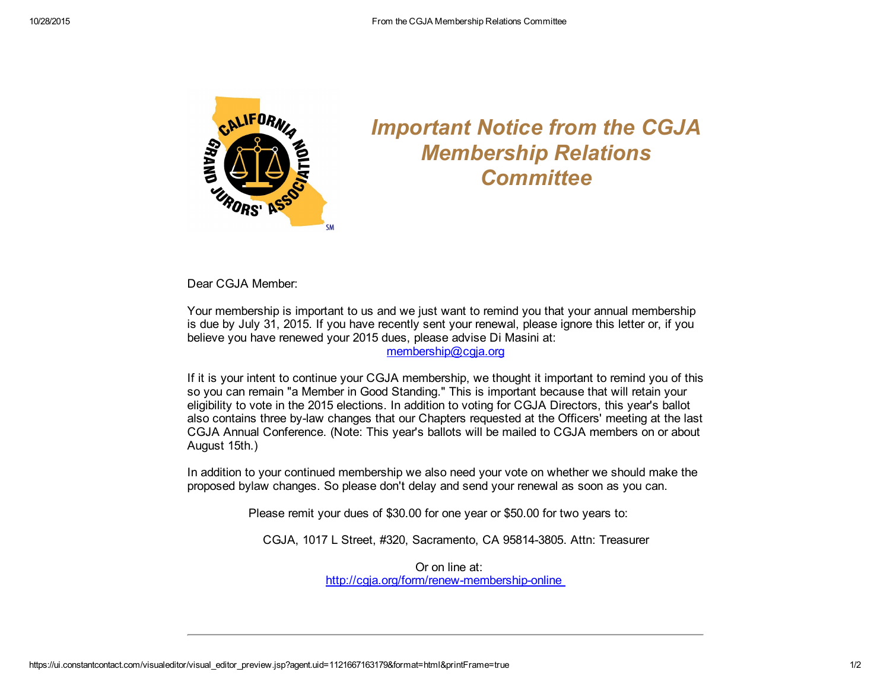

## *Important Notice from the CGJA Membership Relations Committee*

Dear CGJA Member:

Your membership is important to us and we just want to remind you that your annual membership is due by July 31, 2015. If you have recently sent your renewal, please ignore this letter or, if you believe you have renewed your 2015 dues, please advise Di Masini at:

[membership@cgja.org](mailto:membership@cgja.org)

If it is your intent to continue your CGJA membership, we thought it important to remind you of this so you can remain "a Member in Good Standing." This is important because that will retain your eligibility to vote in the 2015 elections. In addition to voting for CGJA Directors, this year's ballot also contains three by-law changes that our Chapters requested at the Officers' meeting at the last CGJA Annual Conference. (Note: This year's ballots will be mailed to CGJA members on or about August 15th.)

In addition to your continued membership we also need your vote on whether we should make the proposed bylaw changes. So please don't delay and send your renewal as soon as you can.

Please remit your dues of \$30.00 for one year or \$50.00 for two years to:

CGJA, 1017 L Street, #320, Sacramento, CA 958143805. Attn: Treasurer

Or on line at: http://cgja.org/form/renew-membership-online